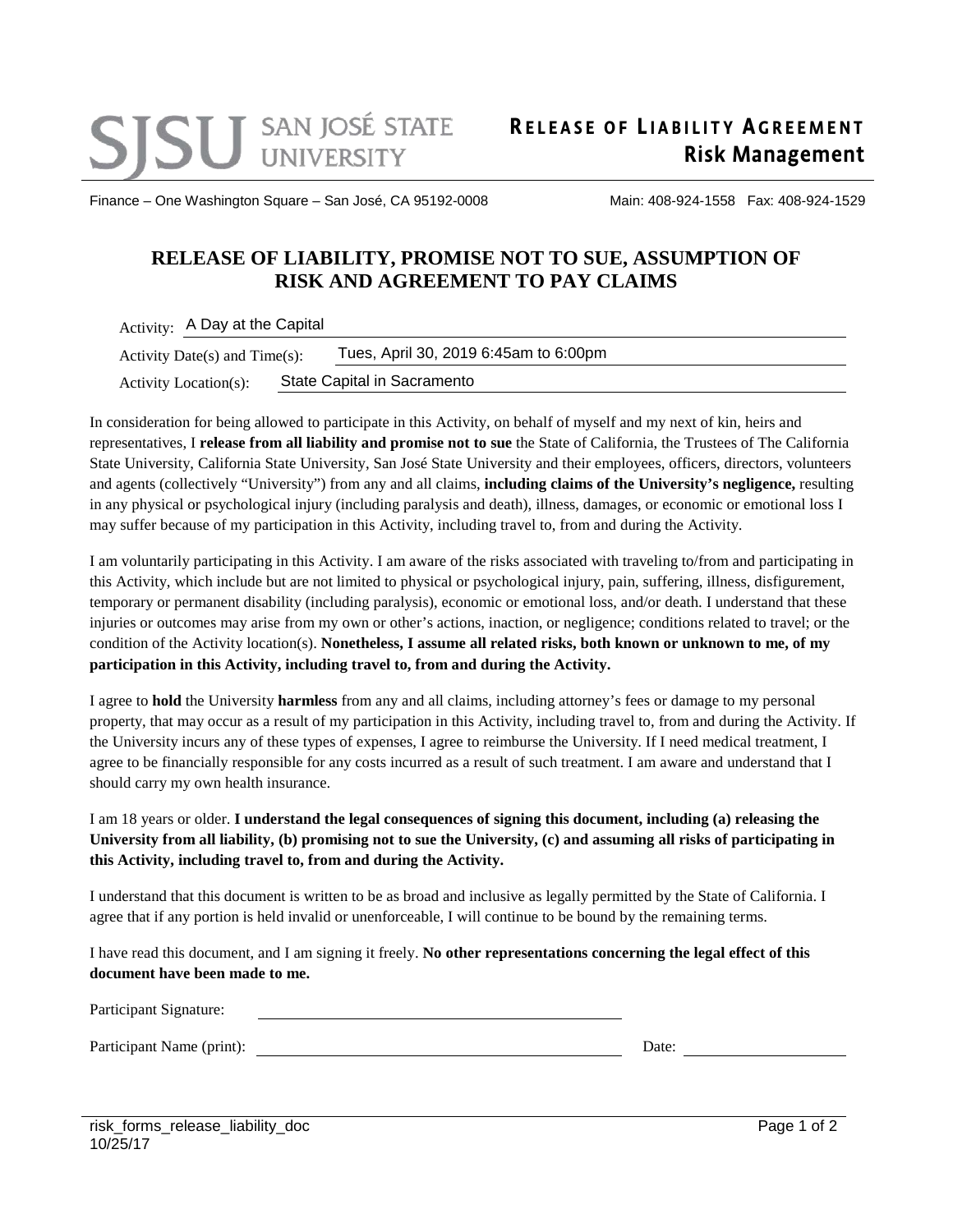Finance – One Washington Square – San José, CA 95192-0008 Main: 408-924-1558 Fax: 408-924-1529

## **RELEASE OF LIABILITY, PROMISE NOT TO SUE, ASSUMPTION OF RISK AND AGREEMENT TO PAY CLAIMS**

Activity: A Day at the Capital

| Activity: A Day at the Capital   |                             |                                       |
|----------------------------------|-----------------------------|---------------------------------------|
| Activity Date(s) and $Time(s)$ : |                             | Tues, April 30, 2019 6:45am to 6:00pm |
| Activity Location(s):            | State Capital in Sacramento |                                       |

In consideration for being allowed to participate in this Activity, on behalf of myself and my next of kin, heirs and representatives, I **release from all liability and promise not to sue** the State of California, the Trustees of The California State University, California State University, San José State University and their employees, officers, directors, volunteers and agents (collectively "University") from any and all claims, **including claims of the University's negligence,** resulting in any physical or psychological injury (including paralysis and death), illness, damages, or economic or emotional loss I may suffer because of my participation in this Activity, including travel to, from and during the Activity.

I am voluntarily participating in this Activity. I am aware of the risks associated with traveling to/from and participating in this Activity, which include but are not limited to physical or psychological injury, pain, suffering, illness, disfigurement, temporary or permanent disability (including paralysis), economic or emotional loss, and/or death. I understand that these injuries or outcomes may arise from my own or other's actions, inaction, or negligence; conditions related to travel; or the condition of the Activity location(s). **Nonetheless, I assume all related risks, both known or unknown to me, of my participation in this Activity, including travel to, from and during the Activity.** 

I agree to **hold** the University **harmless** from any and all claims, including attorney's fees or damage to my personal property, that may occur as a result of my participation in this Activity, including travel to, from and during the Activity. If the University incurs any of these types of expenses, I agree to reimburse the University. If I need medical treatment, I agree to be financially responsible for any costs incurred as a result of such treatment. I am aware and understand that I should carry my own health insurance.

## I am 18 years or older. **I understand the legal consequences of signing this document, including (a) releasing the University from all liability, (b) promising not to sue the University, (c) and assuming all risks of participating in this Activity, including travel to, from and during the Activity.**

I understand that this document is written to be as broad and inclusive as legally permitted by the State of California. I agree that if any portion is held invalid or unenforceable, I will continue to be bound by the remaining terms.

I have read this document, and I am signing it freely. **No other representations concerning the legal effect of this document have been made to me.**

| Participant Signature:    |       |  |
|---------------------------|-------|--|
| Participant Name (print): | Date: |  |